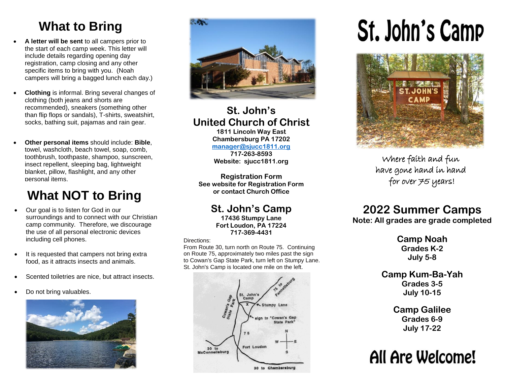## **What to Bring**

- **A letter will be sent** to all campers prior to the start of each camp week. This letter will include details regarding opening day registration, camp closing and any other specific items to bring with you. (Noah campers will bring a bagged lunch each day.)
- **Clothing** is informal. Bring several changes of clothing (both jeans and shorts are recommended), sneakers (something other than flip flops or sandals), T-shirts, sweatshirt, socks, bathing suit, pajamas and rain gear.
- **Other personal items** should include: **Bible**, towel, washcloth, beach towel, soap, comb, toothbrush, toothpaste, shampoo, sunscreen, insect repellent, sleeping bag, lightweight blanket, pillow, flashlight, and any other personal items.

### **What NOT to Bring**

- Our goal is to listen for God in our surroundings and to connect with our Christian camp community. Therefore, we discourage the use of all personal electronic devices including cell phones.
- It is requested that campers not bring extra food, as it attracts insects and animals.
- Scented toiletries are nice, but attract insects.
- Do not bring valuables.





#### **St. John's United Church of Christ 1811 Lincoln Way East**

**Chambersburg PA 17202 [manager@sjucc1811.org](mailto:manager@sjucc1811.org)**

**717-263-8593 Website: sjucc1811.org**

**Registration Form See website for Registration Form or contact Church Office** 

> **St. John's Camp 17436 Stumpy Lane Fort Loudon, PA 17224 717-369-4431**

#### Directions:

From Route 30, turn north on Route 75. Continuing on Route 75, approximately two miles past the sign to Cowan's Gap State Park, turn left on Stumpy Lane. St. John's Camp is located one mile on the left.



# **St. John's Camp**



Where faith and fun have gone hand in hand for over 75 years!

#### **2022 Summer Camps**

**Note: All grades are grade completed**

**Camp Noah Grades K-2 July 5-8**

**Camp Kum-Ba-Yah Grades 3-5 July 10-15**

> **Camp Galilee Grades 6-9 July 17-22**

## All Are Welcome!